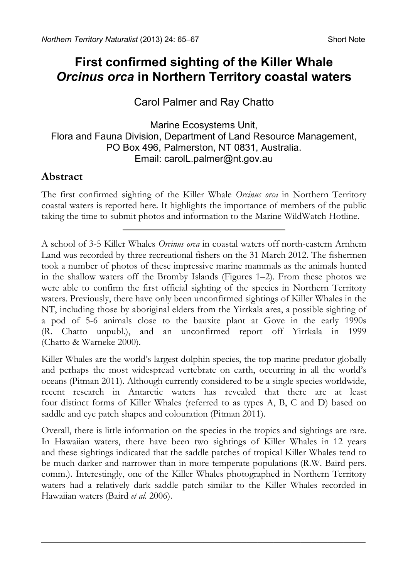# **First confirmed sighting of the Killer Whale**  *Orcinus orca* **in Northern Territory coastal waters**

## Carol Palmer and Ray Chatto

#### Marine Ecosystems Unit, Flora and Fauna Division, Department of Land Resource Management, PO Box 496, Palmerston, NT 0831, Australia. Email: [carolL.palmer@nt.gov.au](mailto:carolL.palmer@nt.gov.au)

### **Abstract**

The first confirmed sighting of the Killer Whale *Orcinus orca* in Northern Territory coastal waters is reported here. It highlights the importance of members of the public taking the time to submit photos and information to the Marine WildWatch Hotline.

A school of 3-5 Killer Whales *Orcinus orca* in coastal waters off north-eastern Arnhem Land was recorded by three recreational fishers on the 31 March 2012. The fishermen took a number of photos of these impressive marine mammals as the animals hunted in the shallow waters off the Bromby Islands (Figures 1–2). From these photos we were able to confirm the first official sighting of the species in Northern Territory waters. Previously, there have only been unconfirmed sightings of Killer Whales in the NT, including those by aboriginal elders from the Yirrkala area, a possible sighting of a pod of 5-6 animals close to the bauxite plant at Gove in the early 1990s (R. Chatto unpubl.), and an unconfirmed report off Yirrkala in 1999 (Chatto & Warneke 2000).

Killer Whales are the world's largest dolphin species, the top marine predator globally and perhaps the most widespread vertebrate on earth, occurring in all the world's oceans (Pitman 2011). Although currently considered to be a single species worldwide, recent research in Antarctic waters has revealed that there are at least four distinct forms of Killer Whales (referred to as types A, B, C and D) based on saddle and eye patch shapes and colouration (Pitman 2011).

Overall, there is little information on the species in the tropics and sightings are rare. In Hawaiian waters, there have been two sightings of Killer Whales in 12 years and these sightings indicated that the saddle patches of tropical Killer Whales tend to be much darker and narrower than in more temperate populations (R.W. Baird pers. comm.). Interestingly, one of the Killer Whales photographed in Northern Territory waters had a relatively dark saddle patch similar to the Killer Whales recorded in Hawaiian waters (Baird *et al.* 2006).

\_\_\_\_\_\_\_\_\_\_\_\_\_\_\_\_\_\_\_\_\_\_\_\_\_\_\_\_\_\_\_\_\_\_\_\_\_\_\_\_\_\_\_\_\_\_\_\_\_\_\_\_\_\_\_\_\_\_\_\_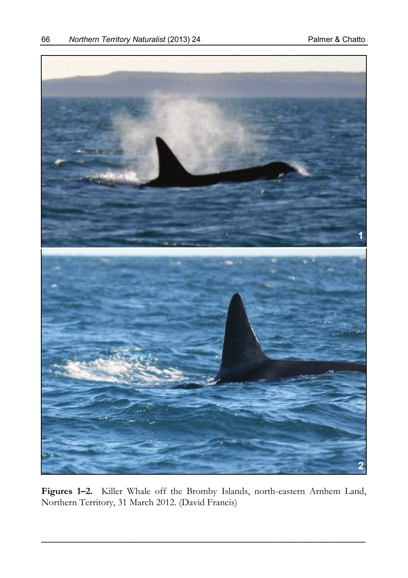

**Figures 1–2.** Killer Whale off the Bromby Islands, north-eastern Arnhem Land, Northern Territory, 31 March 2012. (David Francis)

\_\_\_\_\_\_\_\_\_\_\_\_\_\_\_\_\_\_\_\_\_\_\_\_\_\_\_\_\_\_\_\_\_\_\_\_\_\_\_\_\_\_\_\_\_\_\_\_\_\_\_\_\_\_\_\_\_\_\_\_